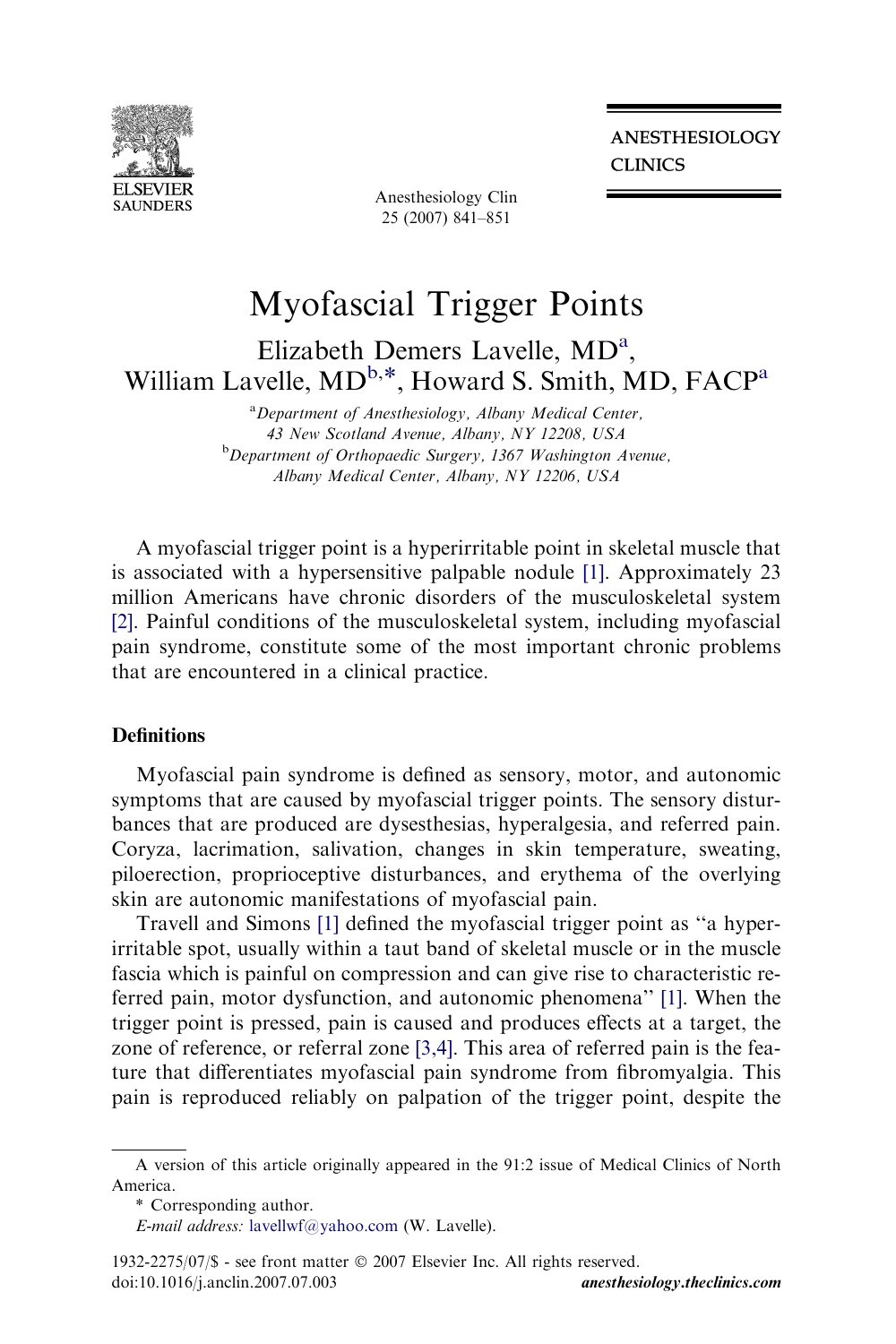

**ANESTHESIOLOGY CLINICS** 

Anesthesiology Clin 25 (2007) 841–851

# Myofascial Trigger Points

Elizabeth Demers Lavelle, MD<sup>a</sup>, William Lavelle, MD<sup>b,\*</sup>, Howard S. Smith, MD, FACP<sup>a</sup>

> <sup>a</sup> Department of Anesthesiology, Albany Medical Center, 43 New Scotland Avenue, Albany, NY 12208, USA <sup>b</sup>Department of Orthopaedic Surgery, 1367 Washington Avenue, Albany Medical Center, Albany, NY 12206, USA

A myofascial trigger point is a hyperirritable point in skeletal muscle that is associated with a hypersensitive palpable nodule [\[1\]](#page-9-0). Approximately 23 million Americans have chronic disorders of the musculoskeletal system [\[2\]](#page-9-0). Painful conditions of the musculoskeletal system, including myofascial pain syndrome, constitute some of the most important chronic problems that are encountered in a clinical practice.

## **Definitions**

Myofascial pain syndrome is defined as sensory, motor, and autonomic symptoms that are caused by myofascial trigger points. The sensory disturbances that are produced are dysesthesias, hyperalgesia, and referred pain. Coryza, lacrimation, salivation, changes in skin temperature, sweating, piloerection, proprioceptive disturbances, and erythema of the overlying skin are autonomic manifestations of myofascial pain.

Travell and Simons [\[1\]](#page-9-0) defined the myofascial trigger point as ''a hyperirritable spot, usually within a taut band of skeletal muscle or in the muscle fascia which is painful on compression and can give rise to characteristic referred pain, motor dysfunction, and autonomic phenomena'' [\[1\]](#page-9-0). When the trigger point is pressed, pain is caused and produces effects at a target, the zone of reference, or referral zone [\[3,4\]](#page-9-0). This area of referred pain is the feature that differentiates myofascial pain syndrome from fibromyalgia. This pain is reproduced reliably on palpation of the trigger point, despite the

A version of this article originally appeared in the 91:2 issue of Medical Clinics of North America.

<sup>\*</sup> Corresponding author.

E-mail address: [lavellwf@yahoo.com](mailto:lavellwf@yahoo.com) (W. Lavelle).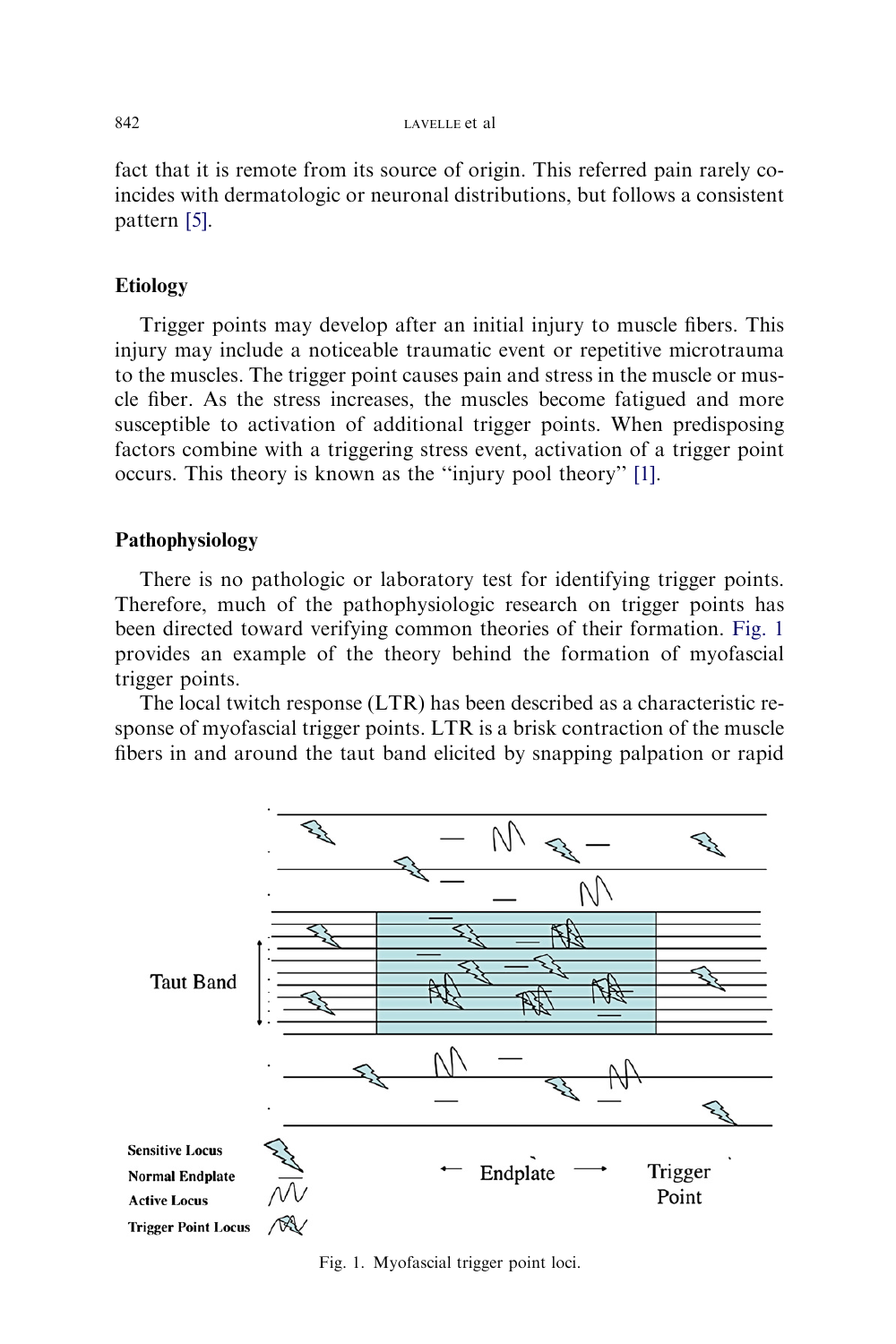fact that it is remote from its source of origin. This referred pain rarely coincides with dermatologic or neuronal distributions, but follows a consistent pattern [\[5\]](#page-9-0).

## Etiology

Trigger points may develop after an initial injury to muscle fibers. This injury may include a noticeable traumatic event or repetitive microtrauma to the muscles. The trigger point causes pain and stress in the muscle or muscle fiber. As the stress increases, the muscles become fatigued and more susceptible to activation of additional trigger points. When predisposing factors combine with a triggering stress event, activation of a trigger point occurs. This theory is known as the ''injury pool theory'' [\[1\]](#page-9-0).

# Pathophysiology

There is no pathologic or laboratory test for identifying trigger points. Therefore, much of the pathophysiologic research on trigger points has been directed toward verifying common theories of their formation. Fig. 1 provides an example of the theory behind the formation of myofascial trigger points.

The local twitch response (LTR) has been described as a characteristic response of myofascial trigger points. LTR is a brisk contraction of the muscle fibers in and around the taut band elicited by snapping palpation or rapid



Fig. 1. Myofascial trigger point loci.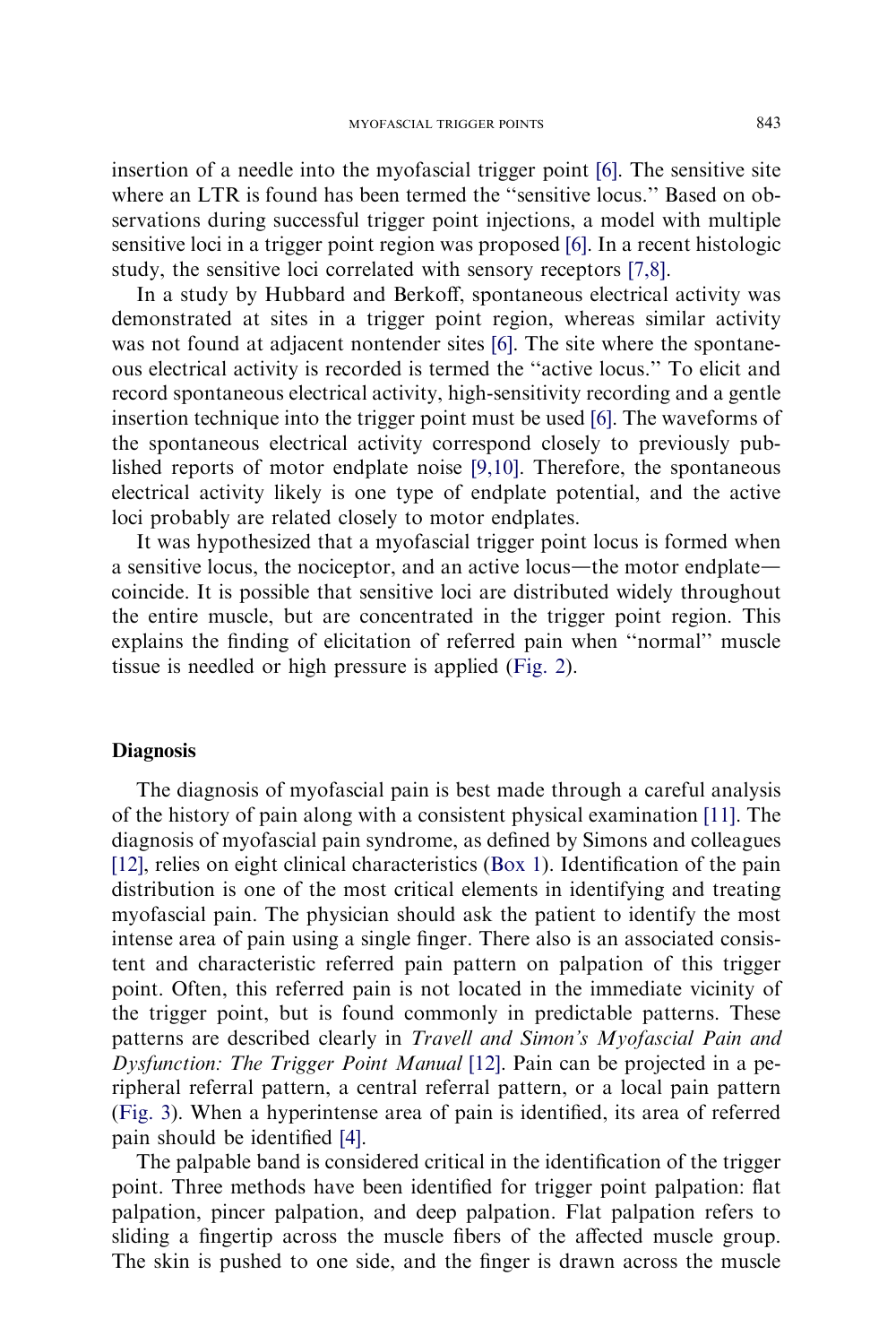insertion of a needle into the myofascial trigger point [\[6\].](#page-9-0) The sensitive site where an LTR is found has been termed the "sensitive locus." Based on observations during successful trigger point injections, a model with multiple sensitive loci in a trigger point region was proposed [\[6\]](#page-9-0). In a recent histologic study, the sensitive loci correlated with sensory receptors [\[7,8\].](#page-9-0)

In a study by Hubbard and Berkoff, spontaneous electrical activity was demonstrated at sites in a trigger point region, whereas similar activity was not found at adjacent nontender sites [\[6\]](#page-9-0). The site where the spontaneous electrical activity is recorded is termed the ''active locus.'' To elicit and record spontaneous electrical activity, high-sensitivity recording and a gentle insertion technique into the trigger point must be used [\[6\]](#page-9-0). The waveforms of the spontaneous electrical activity correspond closely to previously published reports of motor endplate noise [\[9,10\]](#page-9-0). Therefore, the spontaneous electrical activity likely is one type of endplate potential, and the active loci probably are related closely to motor endplates.

It was hypothesized that a myofascial trigger point locus is formed when a sensitive locus, the nociceptor, and an active locus-the motor endplatecoincide. It is possible that sensitive loci are distributed widely throughout the entire muscle, but are concentrated in the trigger point region. This explains the finding of elicitation of referred pain when ''normal'' muscle tissue is needled or high pressure is applied [\(Fig. 2\)](#page-3-0).

#### Diagnosis

The diagnosis of myofascial pain is best made through a careful analysis of the history of pain along with a consistent physical examination [\[11\].](#page-9-0) The diagnosis of myofascial pain syndrome, as defined by Simons and colleagues [\[12\]](#page-9-0), relies on eight clinical characteristics [\(Box 1](#page-4-0)). Identification of the pain distribution is one of the most critical elements in identifying and treating myofascial pain. The physician should ask the patient to identify the most intense area of pain using a single finger. There also is an associated consistent and characteristic referred pain pattern on palpation of this trigger point. Often, this referred pain is not located in the immediate vicinity of the trigger point, but is found commonly in predictable patterns. These patterns are described clearly in Travell and Simon's Myofascial Pain and Dysfunction: The Trigger Point Manual [\[12\]](#page-9-0). Pain can be projected in a peripheral referral pattern, a central referral pattern, or a local pain pattern [\(Fig. 3](#page-4-0)). When a hyperintense area of pain is identified, its area of referred pain should be identified [\[4\]](#page-9-0).

The palpable band is considered critical in the identification of the trigger point. Three methods have been identified for trigger point palpation: flat palpation, pincer palpation, and deep palpation. Flat palpation refers to sliding a fingertip across the muscle fibers of the affected muscle group. The skin is pushed to one side, and the finger is drawn across the muscle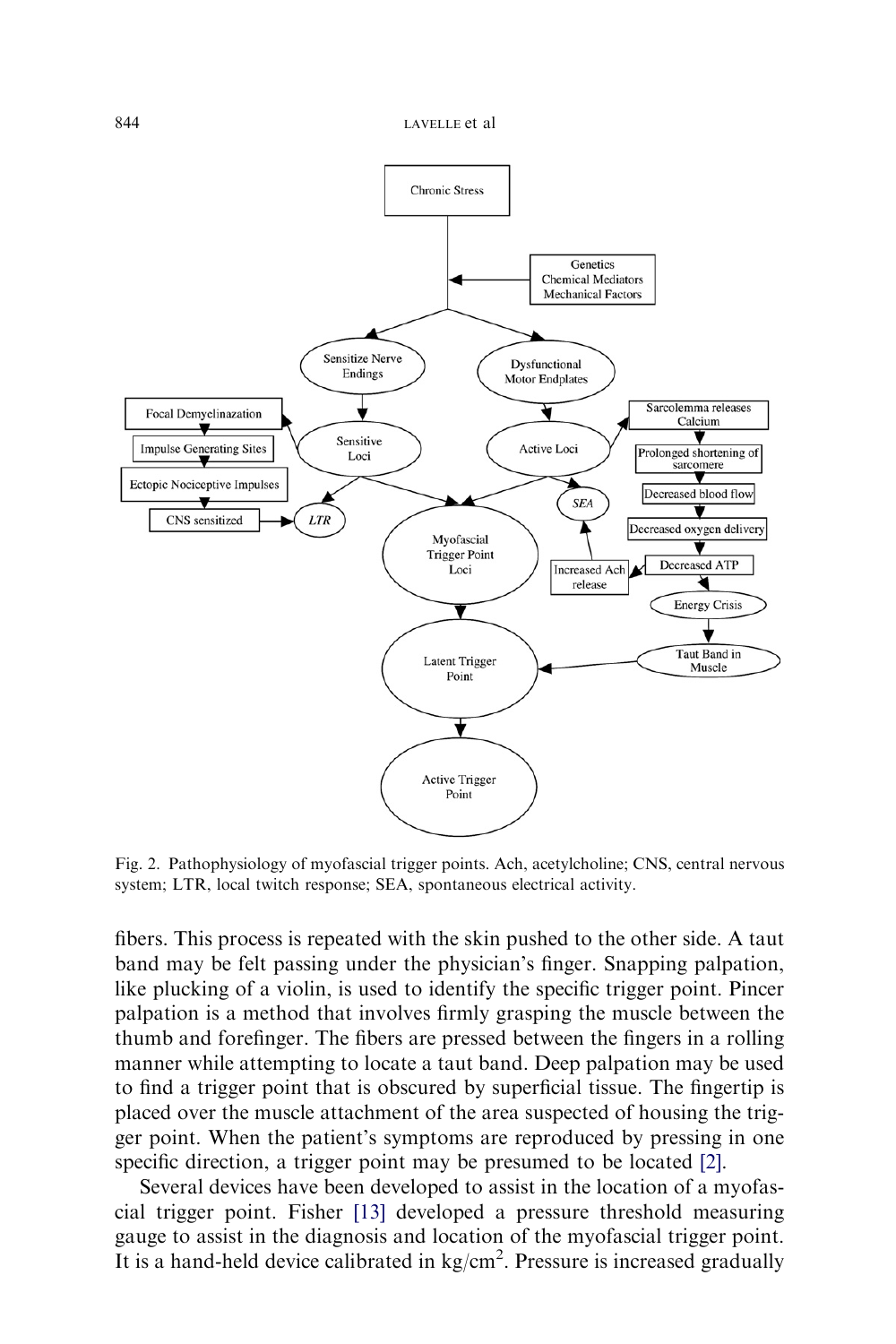<span id="page-3-0"></span>

Fig. 2. Pathophysiology of myofascial trigger points. Ach, acetylcholine; CNS, central nervous system; LTR, local twitch response; SEA, spontaneous electrical activity.

fibers. This process is repeated with the skin pushed to the other side. A taut band may be felt passing under the physician's finger. Snapping palpation, like plucking of a violin, is used to identify the specific trigger point. Pincer palpation is a method that involves firmly grasping the muscle between the thumb and forefinger. The fibers are pressed between the fingers in a rolling manner while attempting to locate a taut band. Deep palpation may be used to find a trigger point that is obscured by superficial tissue. The fingertip is placed over the muscle attachment of the area suspected of housing the trigger point. When the patient's symptoms are reproduced by pressing in one specific direction, a trigger point may be presumed to be located [\[2\].](#page-9-0)

Several devices have been developed to assist in the location of a myofascial trigger point. Fisher [\[13\]](#page-9-0) developed a pressure threshold measuring gauge to assist in the diagnosis and location of the myofascial trigger point. It is a hand-held device calibrated in kg/cm<sup>2</sup>. Pressure is increased gradually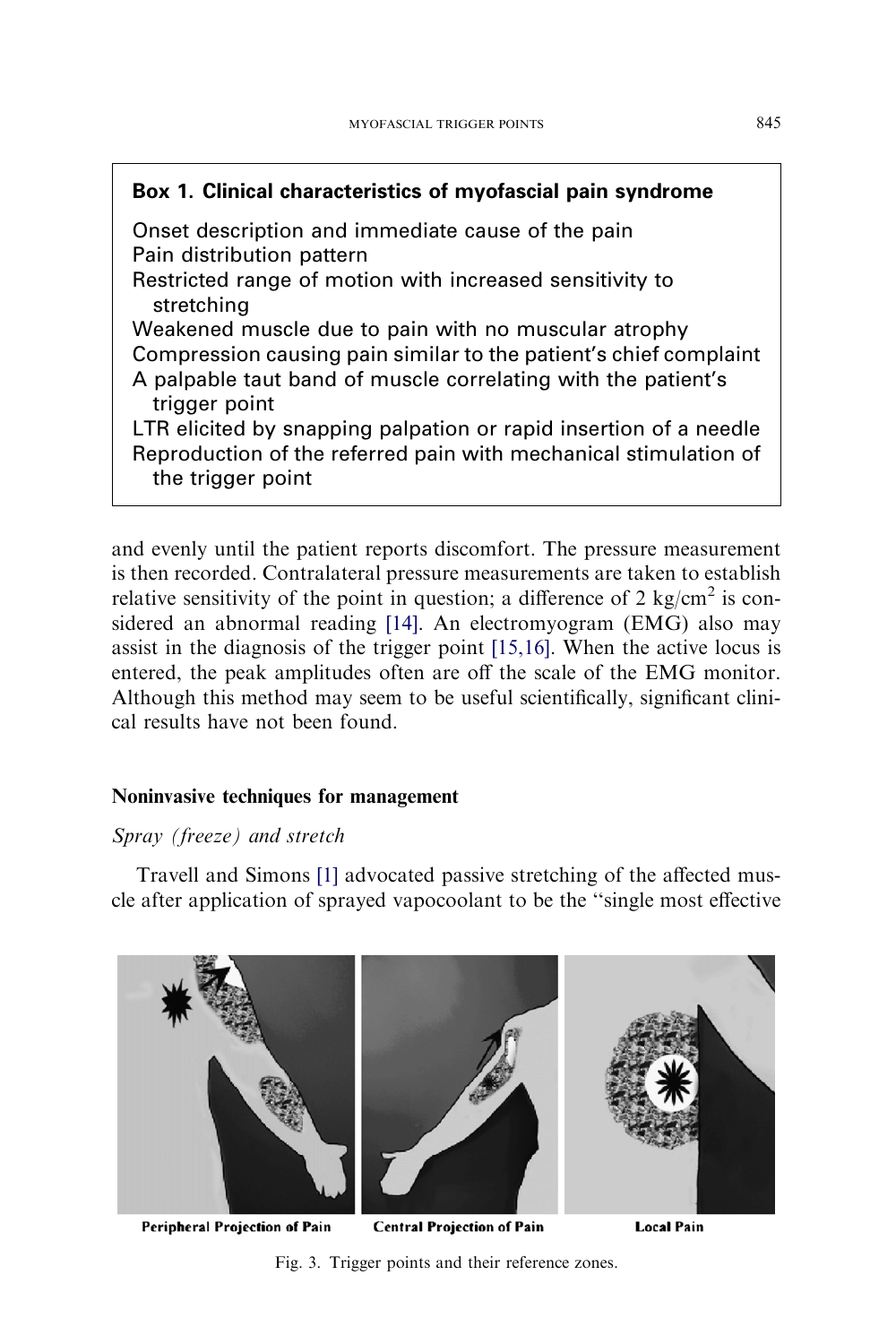# <span id="page-4-0"></span>Box 1. Clinical characteristics of myofascial pain syndrome

Onset description and immediate cause of the pain Pain distribution pattern Restricted range of motion with increased sensitivity to stretching Weakened muscle due to pain with no muscular atrophy Compression causing pain similar to the patient's chief complaint A palpable taut band of muscle correlating with the patient's trigger point LTR elicited by snapping palpation or rapid insertion of a needle Reproduction of the referred pain with mechanical stimulation of the trigger point

and evenly until the patient reports discomfort. The pressure measurement is then recorded. Contralateral pressure measurements are taken to establish relative sensitivity of the point in question; a difference of 2 kg/cm<sup>2</sup> is considered an abnormal reading [\[14\].](#page-9-0) An electromyogram (EMG) also may assist in the diagnosis of the trigger point [\[15,16\]](#page-9-0). When the active locus is entered, the peak amplitudes often are off the scale of the EMG monitor. Although this method may seem to be useful scientifically, significant clinical results have not been found.

# Noninvasive techniques for management

# Spray (freeze) and stretch

Travell and Simons [\[1\]](#page-9-0) advocated passive stretching of the affected muscle after application of sprayed vapocoolant to be the ''single most effective



Peripheral Projection of Pain

**Central Projection of Pain** 

Local Pain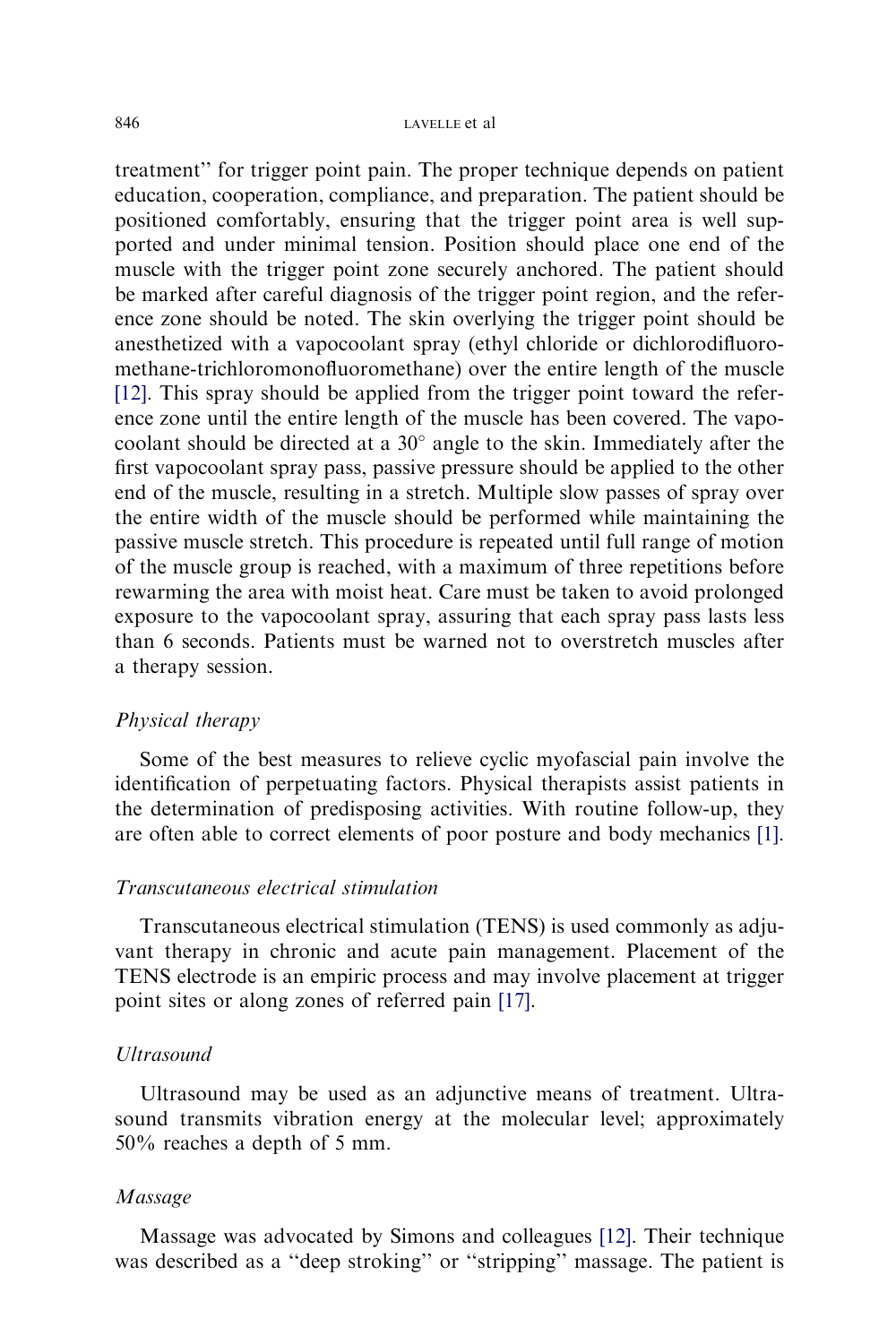treatment'' for trigger point pain. The proper technique depends on patient education, cooperation, compliance, and preparation. The patient should be positioned comfortably, ensuring that the trigger point area is well supported and under minimal tension. Position should place one end of the muscle with the trigger point zone securely anchored. The patient should be marked after careful diagnosis of the trigger point region, and the reference zone should be noted. The skin overlying the trigger point should be anesthetized with a vapocoolant spray (ethyl chloride or dichlorodifluoromethane-trichloromonofluoromethane) over the entire length of the muscle [\[12\].](#page-9-0) This spray should be applied from the trigger point toward the reference zone until the entire length of the muscle has been covered. The vapocoolant should be directed at a 30° angle to the skin. Immediately after the first vapocoolant spray pass, passive pressure should be applied to the other end of the muscle, resulting in a stretch. Multiple slow passes of spray over the entire width of the muscle should be performed while maintaining the passive muscle stretch. This procedure is repeated until full range of motion of the muscle group is reached, with a maximum of three repetitions before rewarming the area with moist heat. Care must be taken to avoid prolonged exposure to the vapocoolant spray, assuring that each spray pass lasts less than 6 seconds. Patients must be warned not to overstretch muscles after a therapy session.

# Physical therapy

Some of the best measures to relieve cyclic myofascial pain involve the identification of perpetuating factors. Physical therapists assist patients in the determination of predisposing activities. With routine follow-up, they are often able to correct elements of poor posture and body mechanics [\[1\]](#page-9-0).

#### Transcutaneous electrical stimulation

Transcutaneous electrical stimulation (TENS) is used commonly as adjuvant therapy in chronic and acute pain management. Placement of the TENS electrode is an empiric process and may involve placement at trigger point sites or along zones of referred pain [\[17\].](#page-9-0)

## Ultrasound

Ultrasound may be used as an adjunctive means of treatment. Ultrasound transmits vibration energy at the molecular level; approximately 50% reaches a depth of 5 mm.

## Massage

Massage was advocated by Simons and colleagues [\[12\]](#page-9-0). Their technique was described as a ''deep stroking'' or ''stripping'' massage. The patient is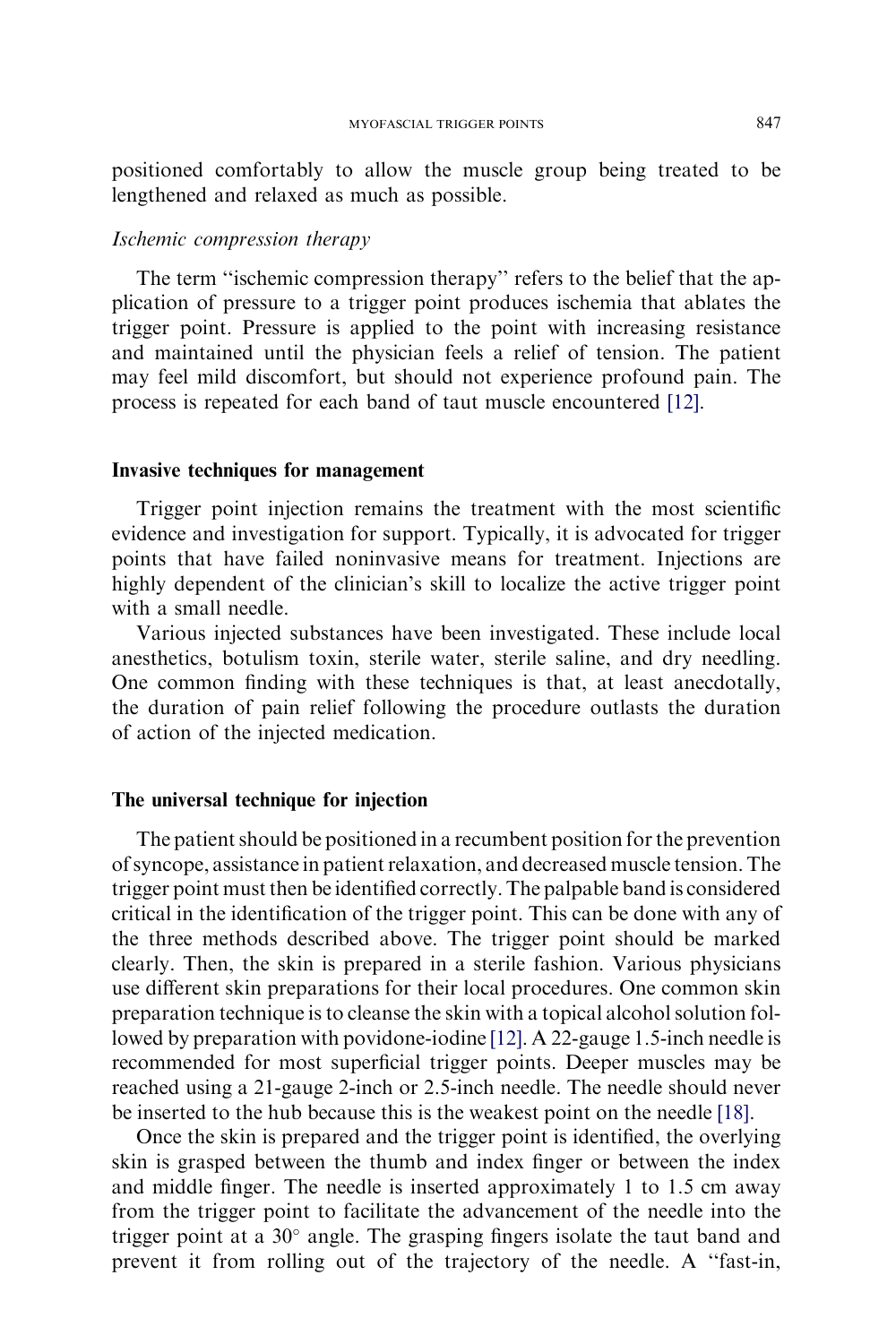positioned comfortably to allow the muscle group being treated to be lengthened and relaxed as much as possible.

## Ischemic compression therapy

The term ''ischemic compression therapy'' refers to the belief that the application of pressure to a trigger point produces ischemia that ablates the trigger point. Pressure is applied to the point with increasing resistance and maintained until the physician feels a relief of tension. The patient may feel mild discomfort, but should not experience profound pain. The process is repeated for each band of taut muscle encountered [\[12\]](#page-9-0).

#### Invasive techniques for management

Trigger point injection remains the treatment with the most scientific evidence and investigation for support. Typically, it is advocated for trigger points that have failed noninvasive means for treatment. Injections are highly dependent of the clinician's skill to localize the active trigger point with a small needle.

Various injected substances have been investigated. These include local anesthetics, botulism toxin, sterile water, sterile saline, and dry needling. One common finding with these techniques is that, at least anecdotally, the duration of pain relief following the procedure outlasts the duration of action of the injected medication.

## The universal technique for injection

The patient should be positioned in a recumbent position for the prevention of syncope, assistance in patient relaxation, and decreased muscle tension. The trigger point must then be identified correctly. The palpable band is considered critical in the identification of the trigger point. This can be done with any of the three methods described above. The trigger point should be marked clearly. Then, the skin is prepared in a sterile fashion. Various physicians use different skin preparations for their local procedures. One common skin preparation technique is to cleanse the skin with a topical alcohol solution followed by preparation with povidone-iodine [\[12\].](#page-9-0) A 22-gauge 1.5-inch needle is recommended for most superficial trigger points. Deeper muscles may be reached using a 21-gauge 2-inch or 2.5-inch needle. The needle should never be inserted to the hub because this is the weakest point on the needle [\[18\]](#page-9-0).

Once the skin is prepared and the trigger point is identified, the overlying skin is grasped between the thumb and index finger or between the index and middle finger. The needle is inserted approximately 1 to 1.5 cm away from the trigger point to facilitate the advancement of the needle into the trigger point at a 30° angle. The grasping fingers isolate the taut band and prevent it from rolling out of the trajectory of the needle. A ''fast-in,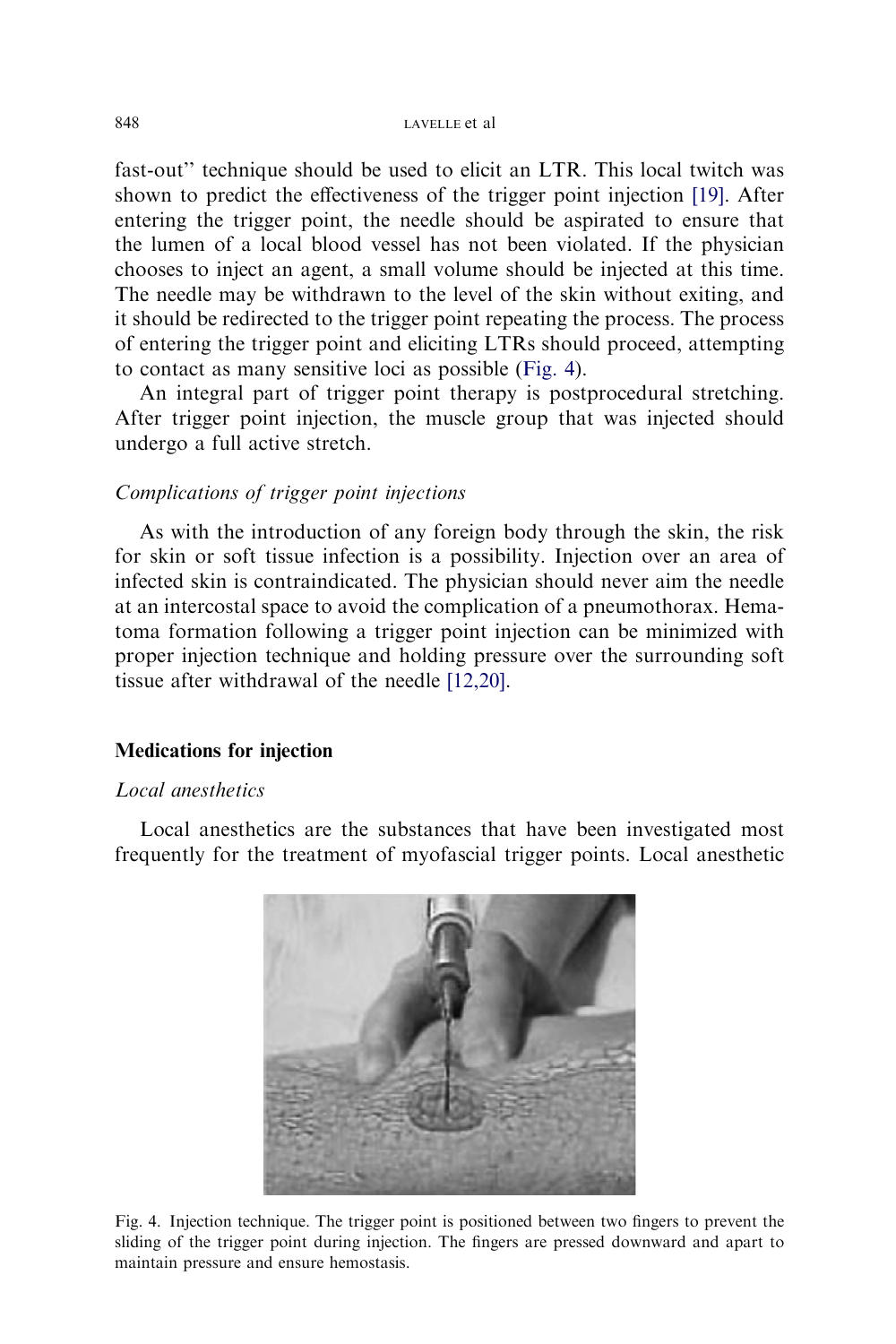#### 848 LAVELLE et al.

fast-out'' technique should be used to elicit an LTR. This local twitch was shown to predict the effectiveness of the trigger point injection [\[19\]](#page-9-0). After entering the trigger point, the needle should be aspirated to ensure that the lumen of a local blood vessel has not been violated. If the physician chooses to inject an agent, a small volume should be injected at this time. The needle may be withdrawn to the level of the skin without exiting, and it should be redirected to the trigger point repeating the process. The process of entering the trigger point and eliciting LTRs should proceed, attempting to contact as many sensitive loci as possible (Fig. 4).

An integral part of trigger point therapy is postprocedural stretching. After trigger point injection, the muscle group that was injected should undergo a full active stretch.

## Complications of trigger point injections

As with the introduction of any foreign body through the skin, the risk for skin or soft tissue infection is a possibility. Injection over an area of infected skin is contraindicated. The physician should never aim the needle at an intercostal space to avoid the complication of a pneumothorax. Hematoma formation following a trigger point injection can be minimized with proper injection technique and holding pressure over the surrounding soft tissue after withdrawal of the needle [\[12,20\].](#page-9-0)

## Medications for injection

# Local anesthetics

Local anesthetics are the substances that have been investigated most frequently for the treatment of myofascial trigger points. Local anesthetic



Fig. 4. Injection technique. The trigger point is positioned between two fingers to prevent the sliding of the trigger point during injection. The fingers are pressed downward and apart to maintain pressure and ensure hemostasis.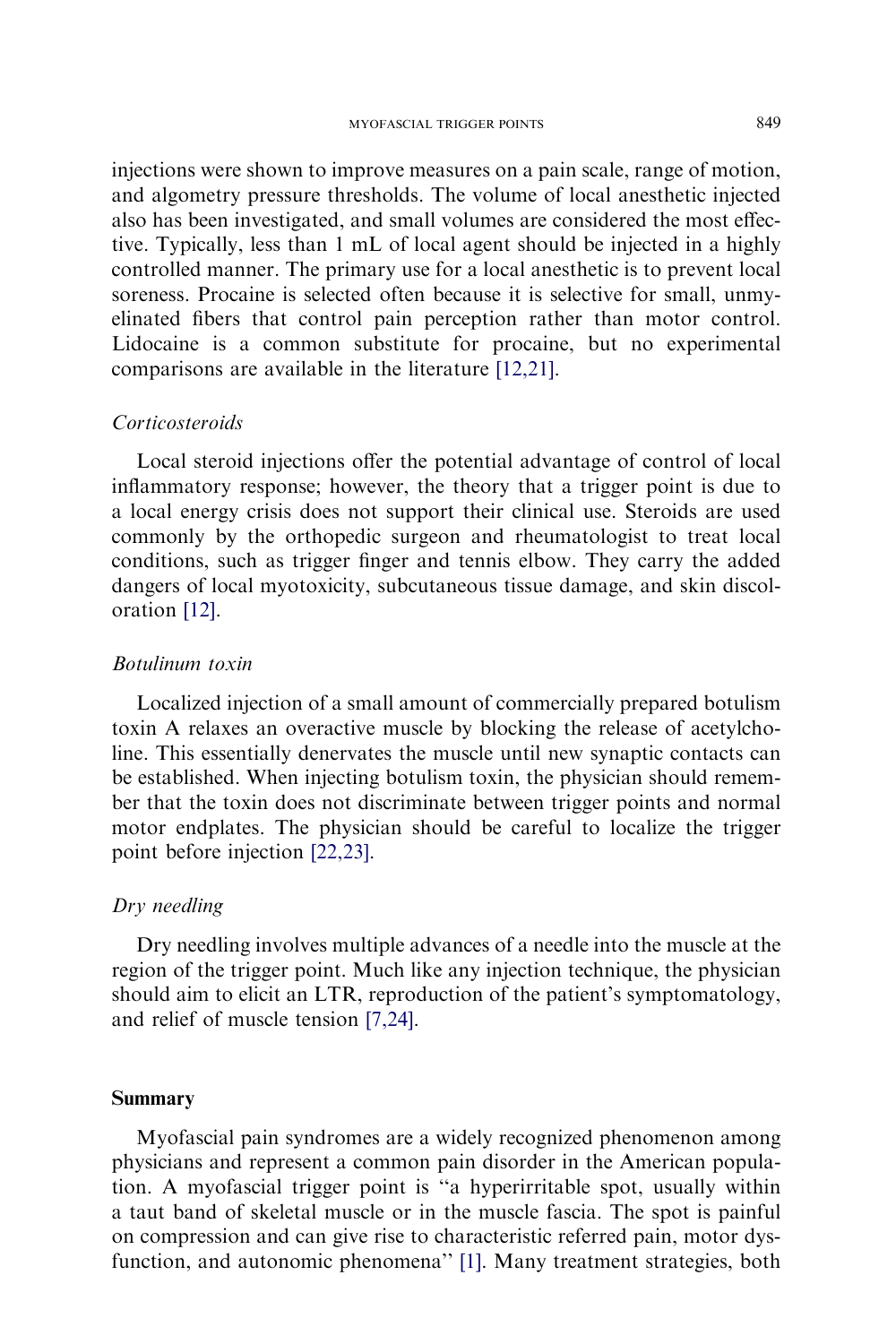injections were shown to improve measures on a pain scale, range of motion, and algometry pressure thresholds. The volume of local anesthetic injected also has been investigated, and small volumes are considered the most effective. Typically, less than 1 mL of local agent should be injected in a highly controlled manner. The primary use for a local anesthetic is to prevent local soreness. Procaine is selected often because it is selective for small, unmyelinated fibers that control pain perception rather than motor control. Lidocaine is a common substitute for procaine, but no experimental comparisons are available in the literature [\[12,21\]](#page-9-0).

# **Corticosteroids**

Local steroid injections offer the potential advantage of control of local inflammatory response; however, the theory that a trigger point is due to a local energy crisis does not support their clinical use. Steroids are used commonly by the orthopedic surgeon and rheumatologist to treat local conditions, such as trigger finger and tennis elbow. They carry the added dangers of local myotoxicity, subcutaneous tissue damage, and skin discoloration [\[12\].](#page-9-0)

# Botulinum toxin

Localized injection of a small amount of commercially prepared botulism toxin A relaxes an overactive muscle by blocking the release of acetylcholine. This essentially denervates the muscle until new synaptic contacts can be established. When injecting botulism toxin, the physician should remember that the toxin does not discriminate between trigger points and normal motor endplates. The physician should be careful to localize the trigger point before injection [\[22,23\]](#page-10-0).

#### Dry needling

Dry needling involves multiple advances of a needle into the muscle at the region of the trigger point. Much like any injection technique, the physician should aim to elicit an LTR, reproduction of the patient's symptomatology, and relief of muscle tension [\[7,24\]](#page-9-0).

## Summary

Myofascial pain syndromes are a widely recognized phenomenon among physicians and represent a common pain disorder in the American population. A myofascial trigger point is ''a hyperirritable spot, usually within a taut band of skeletal muscle or in the muscle fascia. The spot is painful on compression and can give rise to characteristic referred pain, motor dysfunction, and autonomic phenomena'' [\[1\]](#page-9-0). Many treatment strategies, both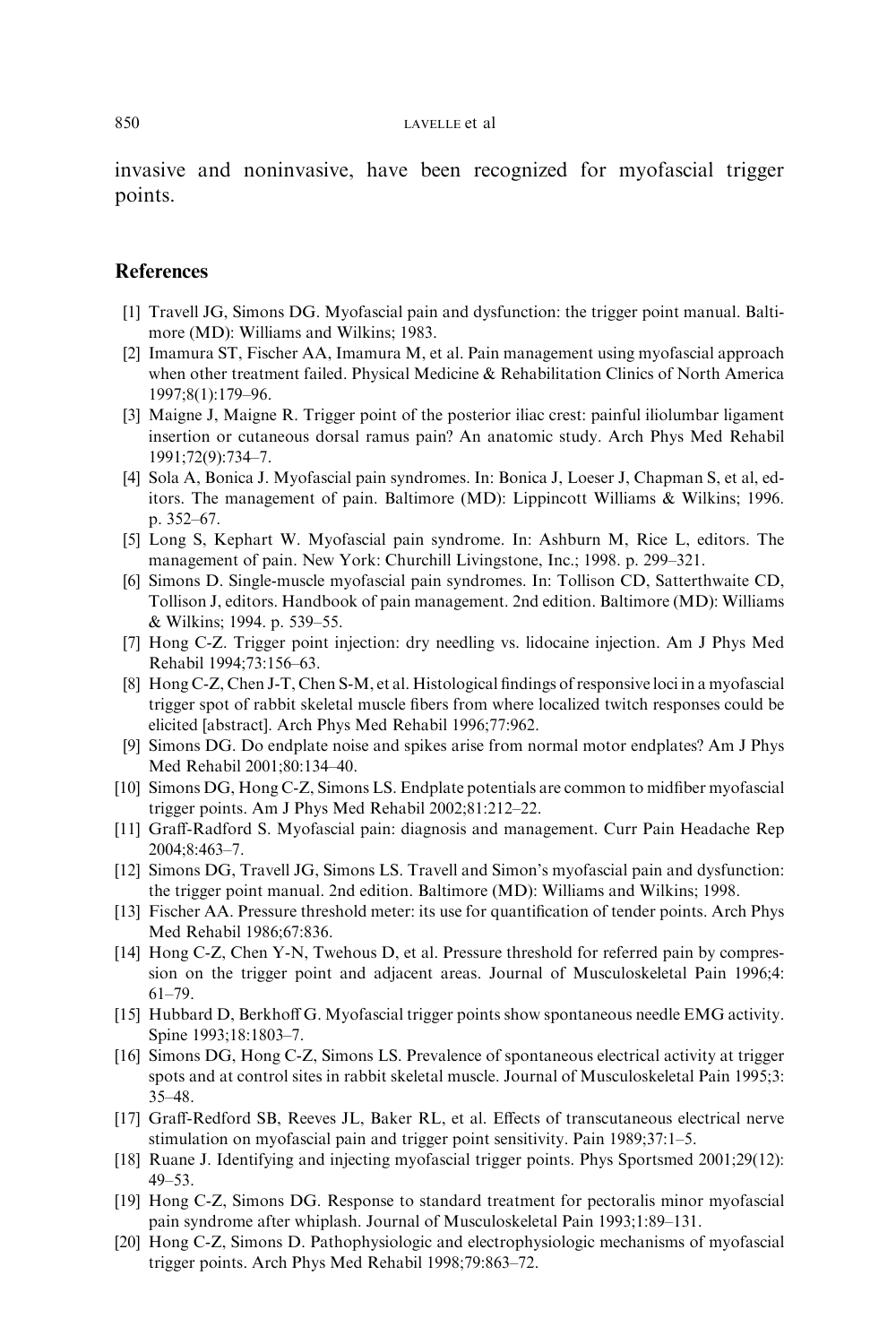<span id="page-9-0"></span>invasive and noninvasive, have been recognized for myofascial trigger points.

# References

- [1] Travell JG, Simons DG. Myofascial pain and dysfunction: the trigger point manual. Baltimore (MD): Williams and Wilkins; 1983.
- [2] Imamura ST, Fischer AA, Imamura M, et al. Pain management using myofascial approach when other treatment failed. Physical Medicine & Rehabilitation Clinics of North America 1997;8(1):179–96.
- [3] Maigne J, Maigne R. Trigger point of the posterior iliac crest: painful iliolumbar ligament insertion or cutaneous dorsal ramus pain? An anatomic study. Arch Phys Med Rehabil 1991;72(9):734–7.
- [4] Sola A, Bonica J. Myofascial pain syndromes. In: Bonica J, Loeser J, Chapman S, et al, editors. The management of pain. Baltimore (MD): Lippincott Williams & Wilkins; 1996. p. 352–67.
- [5] Long S, Kephart W. Myofascial pain syndrome. In: Ashburn M, Rice L, editors. The management of pain. New York: Churchill Livingstone, Inc.; 1998. p. 299–321.
- [6] Simons D. Single-muscle myofascial pain syndromes. In: Tollison CD, Satterthwaite CD, Tollison J, editors. Handbook of pain management. 2nd edition. Baltimore (MD): Williams & Wilkins; 1994. p. 539–55.
- [7] Hong C-Z. Trigger point injection: dry needling vs. lidocaine injection. Am J Phys Med Rehabil 1994;73:156–63.
- [8] Hong C-Z, Chen J-T, Chen S-M, et al. Histological findings of responsive loci in a myofascial trigger spot of rabbit skeletal muscle fibers from where localized twitch responses could be elicited [abstract]. Arch Phys Med Rehabil 1996;77:962.
- [9] Simons DG. Do endplate noise and spikes arise from normal motor endplates? Am J Phys Med Rehabil 2001;80:134–40.
- [10] Simons DG, Hong C-Z, Simons LS. Endplate potentials are common to midfiber myofascial trigger points. Am J Phys Med Rehabil 2002;81:212–22.
- [11] Graff-Radford S. Myofascial pain: diagnosis and management. Curr Pain Headache Rep 2004;8:463–7.
- [12] Simons DG, Travell JG, Simons LS. Travell and Simon's myofascial pain and dysfunction: the trigger point manual. 2nd edition. Baltimore (MD): Williams and Wilkins; 1998.
- [13] Fischer AA. Pressure threshold meter: its use for quantification of tender points. Arch Phys Med Rehabil 1986;67:836.
- [14] Hong C-Z, Chen Y-N, Twehous D, et al. Pressure threshold for referred pain by compression on the trigger point and adjacent areas. Journal of Musculoskeletal Pain 1996;4: 61–79.
- [15] Hubbard D, Berkhoff G. Myofascial trigger points show spontaneous needle EMG activity. Spine 1993;18:1803–7.
- [16] Simons DG, Hong C-Z, Simons LS. Prevalence of spontaneous electrical activity at trigger spots and at control sites in rabbit skeletal muscle. Journal of Musculoskeletal Pain 1995;3: 35–48.
- [17] Graff-Redford SB, Reeves JL, Baker RL, et al. Effects of transcutaneous electrical nerve stimulation on myofascial pain and trigger point sensitivity. Pain 1989;37:1–5.
- [18] Ruane J. Identifying and injecting myofascial trigger points. Phys Sportsmed 2001;29(12): 49–53.
- [19] Hong C-Z, Simons DG. Response to standard treatment for pectoralis minor myofascial pain syndrome after whiplash. Journal of Musculoskeletal Pain 1993;1:89–131.
- [20] Hong C-Z, Simons D. Pathophysiologic and electrophysiologic mechanisms of myofascial trigger points. Arch Phys Med Rehabil 1998;79:863–72.